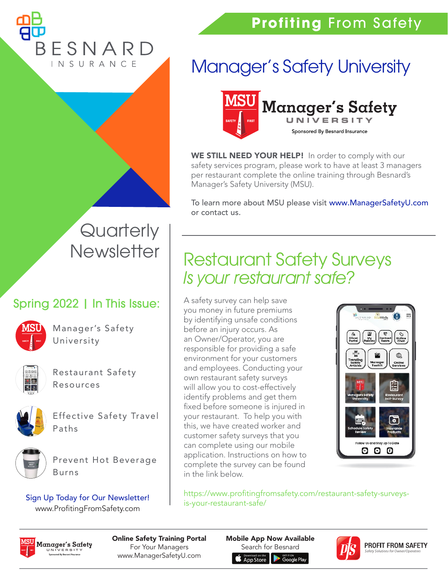### **Profiting** From Safety

ESNARD INSURANCE

## Manager's Safety University



WE STILL NEED YOUR HELP! In order to comply with our safety services program, please work to have at least 3 managers per restaurant complete the online training through Besnard's Manager's Safety University (MSU).

To learn more about MSU please visit<www.ManagerSafetyU.com> or contact us.

# **Quarterly Newsletter**

#### Spring 2022 | In This Issue:



Manager's Safety University



Restaurant Safety Resources



Effective Safety Travel Paths



Prevent Hot Beverage Burns

Sign Up Today for Our Newsletter! www.ProfitingFromSafety.com

### Restaurant Safety Surveys Is your restaurant safe?

A safety survey can help save you money in future premiums by identifying unsafe conditions before an injury occurs. As an Owner/Operator, you are responsible for providing a safe environment for your customers and employees. Conducting your own restaurant safety surveys will allow you to cost-effectively identify problems and get them fixed before someone is injured in your restaurant. To help you with this, we have created worker and customer safety surveys that you can complete using our mobile application. Instructions on how to complete the survey can be found in the link below.



[https://www.profitingfromsafety.com/restaurant-safety-surveys](https://www.profitingfromsafety.com/restaurant-safety-surveys-is-your-restaurant-safe/)is-your-restaurant-safe/



Online Safety Training Portal For Your Managers www.ManagerSafetyU.com

Mobile App Now Available Search for BesnardApp Store oole Play